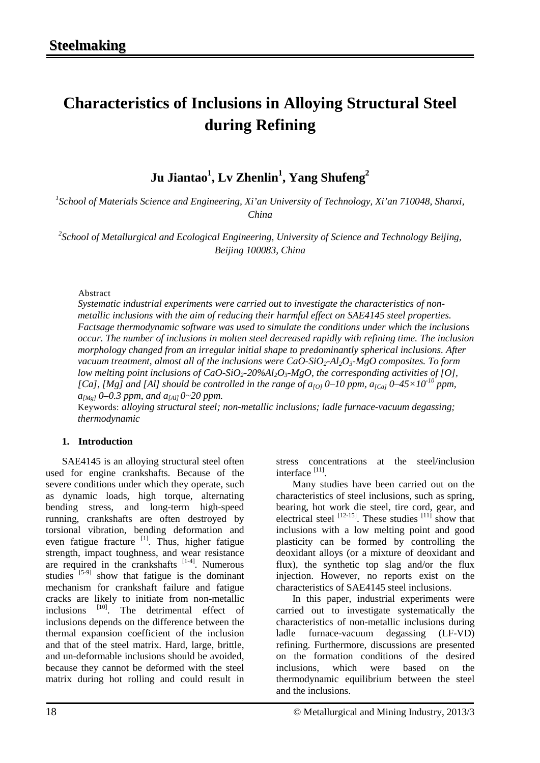# **Characteristics of Inclusions in Alloying Structural Steel during Refining**

 $\mathbf{J}$ u Jiantao $^{1}$ , Lv Zhenlin $^{1}$ , Yang Shufeng $^{2}$ 

*1 School of Materials Science and Engineering, Xi'an University of Technology, Xi'an 710048, Shanxi, China*

*2 School of Metallurgical and Ecological Engineering, University of Science and Technology Beijing, Beijing 100083, China* 

#### Abstract

*Systematic industrial experiments were carried out to investigate the characteristics of nonmetallic inclusions with the aim of reducing their harmful effect on SAE4145 steel properties. Factsage thermodynamic software was used to simulate the conditions under which the inclusions occur. The number of inclusions in molten steel decreased rapidly with refining time. The inclusion morphology changed from an irregular initial shape to predominantly spherical inclusions. After vacuum treatment, almost all of the inclusions were CaO-SiO<sub>2</sub>-Al<sub>2</sub>O<sub>3</sub>-MgO composites. To form low melting point inclusions of CaO-SiO<sub>2</sub>-20%Al<sub>2</sub>O<sub>3</sub>-MgO, the corresponding activities of [O],* [Ca], [Mg] and [Al] should be controlled in the range of  $a_{[0]}$  0–10 ppm,  $a_{[Ca]}$  0–45×10<sup>-10</sup> ppm,  $a_{[Mg]}$  0–0.3 ppm, and  $a_{[Al]}$  0~20 ppm.

Keywords: *alloying structural steel; non-metallic inclusions; ladle furnace-vacuum degassing; thermodynamic*

#### **1. Introduction**

SAE4145 is an alloying structural steel often used for engine crankshafts. Because of the severe conditions under which they operate, such as dynamic loads, high torque, alternating bending stress, and long-term high-speed running, crankshafts are often destroyed by torsional vibration, bending deformation and even fatigue fracture  $\left[1\right]$ . Thus, higher fatigue strength, impact toughness, and wear resistance are required in the crankshafts  $[1-4]$ . Numerous studies  $\left[5-9\right]$  show that fatigue is the dominant mechanism for crankshaft failure and fatigue cracks are likely to initiate from non-metallic inclusions  $[10]$ . The detrimental effect of inclusions depends on the difference between the thermal expansion coefficient of the inclusion and that of the steel matrix. Hard, large, brittle, and un-deformable inclusions should be avoided, because they cannot be deformed with the steel matrix during hot rolling and could result in stress concentrations at the steel/inclusion interface<sup>[11]</sup>.

Many studies have been carried out on the characteristics of steel inclusions, such as spring, bearing, hot work die steel, tire cord, gear, and electrical steel  $^{[12-15]}$ . These studies  $^{[11]}$  show that inclusions with a low melting point and good plasticity can be formed by controlling the deoxidant alloys (or a mixture of deoxidant and flux), the synthetic top slag and/or the flux injection. However, no reports exist on the characteristics of SAE4145 steel inclusions.

In this paper, industrial experiments were carried out to investigate systematically the characteristics of non-metallic inclusions during ladle furnace-vacuum degassing (LF-VD) refining. Furthermore, discussions are presented on the formation conditions of the desired inclusions, which were based on the thermodynamic equilibrium between the steel and the inclusions.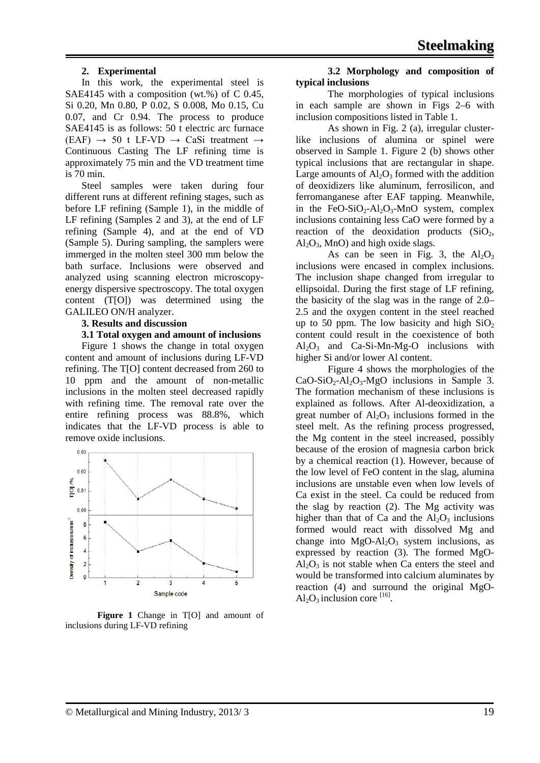#### **2. Experimental**

In this work, the experimental steel is SAE4145 with a composition (wt.%) of C 0.45, Si 0.20, Mn 0.80, P 0.02, S 0.008, Mo 0.15, Cu 0.07, and Cr 0.94. The process to produce SAE4145 is as follows: 50 t electric arc furnace  $(EAF) \rightarrow 50$  t LF-VD  $\rightarrow$  CaSi treatment  $\rightarrow$ Continuous Casting The LF refining time is approximately 75 min and the VD treatment time is 70 min.

Steel samples were taken during four different runs at different refining stages, such as before LF refining (Sample 1), in the middle of LF refining (Samples 2 and 3), at the end of LF refining (Sample 4), and at the end of VD (Sample 5). During sampling, the samplers were immerged in the molten steel 300 mm below the bath surface. Inclusions were observed and analyzed using scanning electron microscopyenergy dispersive spectroscopy. The total oxygen content (T[O]) was determined using the GALILEO ON/H analyzer.

#### **3. Results and discussion**

#### **3.1 Total oxygen and amount of inclusions**

Figure 1 shows the change in total oxygen content and amount of inclusions during LF-VD refining. The T[O] content decreased from 260 to 10 ppm and the amount of non-metallic inclusions in the molten steel decreased rapidly with refining time. The removal rate over the entire refining process was 88.8%, which indicates that the LF-VD process is able to remove oxide inclusions.



**Figure 1** Change in T[O] and amount of inclusions during LF-VD refining

#### **3.2 Morphology and composition of typical inclusions**

The morphologies of typical inclusions in each sample are shown in Figs 2–6 with inclusion compositions listed in Table 1.

As shown in Fig. 2 (a), irregular clusterlike inclusions of alumina or spinel were observed in Sample 1. Figure 2 (b) shows other typical inclusions that are rectangular in shape. Large amounts of  $Al_2O_3$  formed with the addition of deoxidizers like aluminum, ferrosilicon, and ferromanganese after EAF tapping. Meanwhile, in the FeO-SiO<sub>2</sub>-Al<sub>2</sub>O<sub>3</sub>-MnO system, complex inclusions containing less CaO were formed by a reaction of the deoxidation products  $(SiO<sub>2</sub>,$  $Al_2O_3$ , MnO) and high oxide slags.

As can be seen in Fig. 3, the  $Al_2O_3$ inclusions were encased in complex inclusions. The inclusion shape changed from irregular to ellipsoidal. During the first stage of LF refining, the basicity of the slag was in the range of 2.0– 2.5 and the oxygen content in the steel reached up to 50 ppm. The low basicity and high  $SiO<sub>2</sub>$ content could result in the coexistence of both  $Al_2O_3$  and Ca-Si-Mn-Mg-O inclusions with higher Si and/or lower Al content.

Figure 4 shows the morphologies of the  $CaO-SiO<sub>2</sub>-Al<sub>2</sub>O<sub>3</sub>-MgO$  inclusions in Sample 3. The formation mechanism of these inclusions is explained as follows. After Al-deoxidization, a great number of  $Al_2O_3$  inclusions formed in the steel melt. As the refining process progressed, the Mg content in the steel increased, possibly because of the erosion of magnesia carbon brick by a chemical reaction (1). However, because of the low level of FeO content in the slag, alumina inclusions are unstable even when low levels of Ca exist in the steel. Ca could be reduced from the slag by reaction (2). The Mg activity was higher than that of Ca and the  $Al_2O_3$  inclusions formed would react with dissolved Mg and change into  $MgO-Al_2O_3$  system inclusions, as expressed by reaction (3). The formed MgO- $Al_2O_3$  is not stable when Ca enters the steel and would be transformed into calcium aluminates by reaction (4) and surround the original MgO- $Al_2O_3$  inclusion core [16].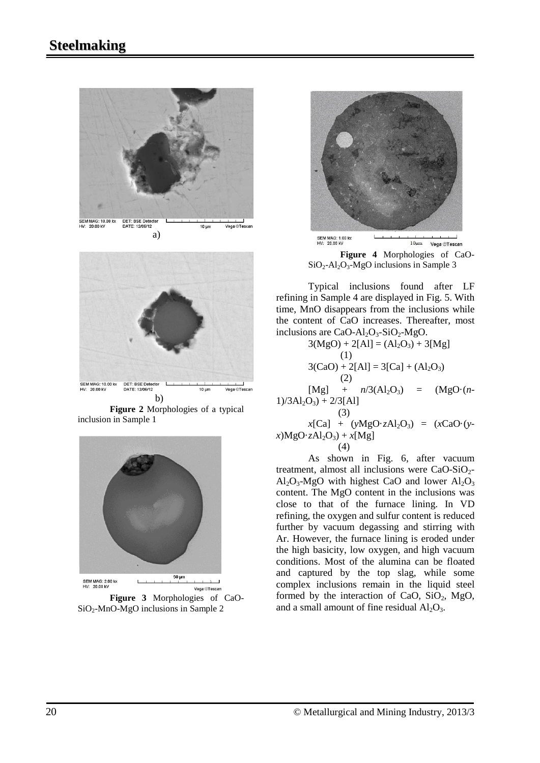



**Figure 2** Morphologies of a typical inclusion in Sample 1



SiO2-MnO-MgO inclusions in Sample 2



**Figure 4** Morphologies of CaO- $SiO<sub>2</sub>-Al<sub>2</sub>O<sub>3</sub>-MgO$  inclusions in Sample 3

Typical inclusions found after LF refining in Sample 4 are displayed in Fig. 5. With time, MnO disappears from the inclusions while the content of CaO increases. Thereafter, most inclusions are  $CaO-Al_2O_3-SiO_2-MgO$ .

$$
3(MgO) + 2[Al] = (Al_2O_3) + 3[Mg]
$$
  
(1)  
3(CaO) + 2[Al] = 3[Ca] + (Al\_2O\_3)  
(2)  
[Mg] + n/3(Al\_2O\_3) = (MgO·(n-1)/3Al\_2O\_3) + 2/3[Al]  
(3)

 $x[Ca] + (yMgO·zAl<sub>2</sub>O<sub>3</sub>) = (xCaO·(y$  $x)MgO·zAl<sub>2</sub>O<sub>3</sub> + x[Mg]$ (4)

As shown in Fig. 6, after vacuum treatment, almost all inclusions were  $CaO-SiO<sub>2</sub>$ - $A<sub>1</sub>, O<sub>3</sub>$ -MgO with highest CaO and lower  $A<sub>1</sub>, O<sub>3</sub>$ content. The MgO content in the inclusions was close to that of the furnace lining. In VD refining, the oxygen and sulfur content is reduced further by vacuum degassing and stirring with Ar. However, the furnace lining is eroded under the high basicity, low oxygen, and high vacuum conditions. Most of the alumina can be floated and captured by the top slag, while some complex inclusions remain in the liquid steel formed by the interaction of CaO,  $SiO<sub>2</sub>$ , MgO, and a small amount of fine residual  $Al<sub>2</sub>O<sub>3</sub>$ .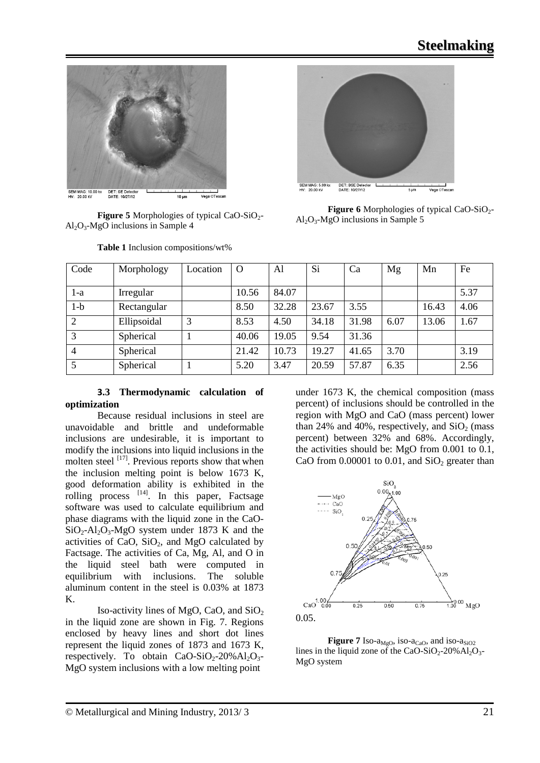

**Figure 5** Morphologies of typical CaO-SiO<sub>2</sub>- $Al_2O_3-MgO$  inclusions in Sample 4



**Figure 6** Morphologies of typical CaO-SiO<sub>2</sub>- $Al_2O_3$ -MgO inclusions in Sample 5

| Code           | Morphology  | Location | $\Omega$ | Al    | Si    | Ca    | Mg   | Mn    | Fe   |
|----------------|-------------|----------|----------|-------|-------|-------|------|-------|------|
|                |             |          |          |       |       |       |      |       |      |
| l-a            | Irregular   |          | 10.56    | 84.07 |       |       |      |       | 5.37 |
| $1-b$          | Rectangular |          | 8.50     | 32.28 | 23.67 | 3.55  |      | 16.43 | 4.06 |
| 2              | Ellipsoidal | 3        | 8.53     | 4.50  | 34.18 | 31.98 | 6.07 | 13.06 | 1.67 |
| 3              | Spherical   |          | 40.06    | 19.05 | 9.54  | 31.36 |      |       |      |
| $\overline{4}$ | Spherical   |          | 21.42    | 10.73 | 19.27 | 41.65 | 3.70 |       | 3.19 |
| 5              | Spherical   |          | 5.20     | 3.47  | 20.59 | 57.87 | 6.35 |       | 2.56 |

**Table 1** Inclusion compositions/wt%

### **3.3 Thermodynamic calculation of optimization**

Because residual inclusions in steel are unavoidable and brittle and undeformable inclusions are undesirable, it is important to modify the inclusions into liquid inclusions in the molten steel  $^{[17]}$ . Previous reports show that when the inclusion melting point is below 1673 K, good deformation ability is exhibited in the rolling process <sup>[14]</sup>. In this paper, Factsage software was used to calculate equilibrium and phase diagrams with the liquid zone in the CaO- $SiO_2$ -Al<sub>2</sub>O<sub>3</sub>-MgO system under 1873 K and the activities of CaO,  $SiO<sub>2</sub>$ , and MgO calculated by Factsage. The activities of Ca, Mg, Al, and O in the liquid steel bath were computed in equilibrium with inclusions. The soluble aluminum content in the steel is 0.03% at 1873 K.

Iso-activity lines of MgO, CaO, and  $SiO<sub>2</sub>$ in the liquid zone are shown in Fig. 7. Regions enclosed by heavy lines and short dot lines represent the liquid zones of 1873 and 1673 K, respectively. To obtain  $CaO-SiO<sub>2</sub>-20% Al<sub>2</sub>O<sub>3</sub>$ -MgO system inclusions with a low melting point

under 1673 K, the chemical composition (mass percent) of inclusions should be controlled in the region with MgO and CaO (mass percent) lower than 24% and 40%, respectively, and  $SiO<sub>2</sub>$  (mass percent) between 32% and 68%. Accordingly, the activities should be: MgO from 0.001 to 0.1, CaO from  $0.00001$  to  $0.01$ , and  $SiO<sub>2</sub>$  greater than



**Figure 7** Iso- $a_{M_0O}$ , iso- $a_{CaO}$ , and iso- $a_{SiO2}$ lines in the liquid zone of the CaO-SiO<sub>2</sub>-20%Al<sub>2</sub>O<sub>3</sub>-MgO system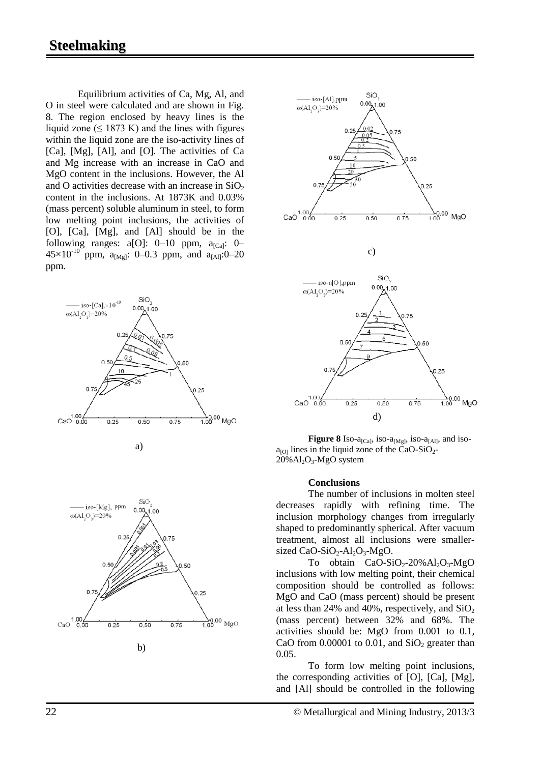## **Steelmaking**

Equilibrium activities of Ca, Mg, Al, and O in steel were calculated and are shown in Fig. 8. The region enclosed by heavy lines is the liquid zone ( $\leq$  1873 K) and the lines with figures within the liquid zone are the iso-activity lines of [Ca], [Mg], [Al], and [O]. The activities of Ca and Mg increase with an increase in CaO and MgO content in the inclusions. However, the Al and O activities decrease with an increase in  $SiO<sub>2</sub>$ content in the inclusions. At 1873K and 0.03% (mass percent) soluble aluminum in steel, to form low melting point inclusions, the activities of [O], [Ca], [Mg], and [Al] should be in the following ranges:  $a[O]$ : 0–10 ppm,  $a_{[Ca]}$ : 0–  $45\times10^{-10}$  ppm,  $a_{[Mg]}$ : 0–0.3 ppm, and  $a_{[A]l}$ :0–20 ppm.





**Figure 8** Iso- $a_{[Ca]}$ , iso- $a_{[Mg]}$ , iso- $a_{[Al]}$ , and iso $a_{[O]}$  lines in the liquid zone of the CaO-SiO<sub>2</sub>- $20\%$ Al<sub>2</sub>O<sub>3</sub>-MgO system

#### **Conclusions**

The number of inclusions in molten steel decreases rapidly with refining time. The inclusion morphology changes from irregularly shaped to predominantly spherical. After vacuum treatment, almost all inclusions were smallersized CaO-SiO<sub>2</sub>-Al<sub>2</sub>O<sub>3</sub>-MgO.

To obtain  $CaO-SiO<sub>2</sub>-20%Al<sub>2</sub>O<sub>3</sub>-MgO$ inclusions with low melting point, their chemical composition should be controlled as follows: MgO and CaO (mass percent) should be present at less than 24% and 40%, respectively, and  $SiO<sub>2</sub>$ (mass percent) between 32% and 68%. The activities should be: MgO from 0.001 to 0.1, CaO from  $0.00001$  to  $0.01$ , and  $SiO<sub>2</sub>$  greater than 0.05.

To form low melting point inclusions, the corresponding activities of [O], [Ca], [Mg], and [Al] should be controlled in the following